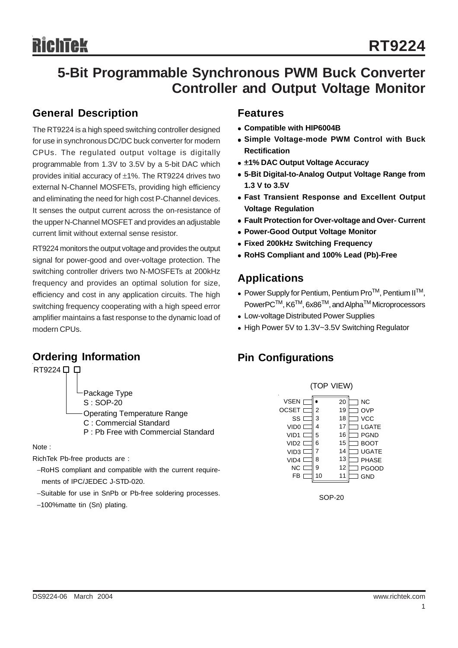# **5-Bit Programmable Synchronous PWM Buck Converter Controller and Output Voltage Monitor**

### **General Description**

The RT9224 is a high speed switching controller designed for use in synchronous DC/DC buck converter for modern CPUs. The regulated output voltage is digitally programmable from 1.3V to 3.5V by a 5-bit DAC which provides initial accuracy of ±1%. The RT9224 drives two external N-Channel MOSFETs, providing high efficiency and eliminating the need for high cost P-Channel devices. It senses the output current across the on-resistance of the upper N-Channel MOSFET and provides an adjustable current limit without external sense resistor.

RT9224 monitors the output voltage and provides the output signal for power-good and over-voltage protection. The switching controller drivers two N-MOSFETs at 200kHz frequency and provides an optimal solution for size, efficiency and cost in any application circuits. The high switching frequency cooperating with a high speed error amplifier maintains a fast response to the dynamic load of modern CPUs.

### **Ordering Information**



P : Pb Free with Commercial Standard

Note :

RichTek Pb-free products are :

- −RoHS compliant and compatible with the current require ments of IPC/JEDEC J-STD-020.
- −Suitable for use in SnPb or Pb-free soldering processes.
- −100%matte tin (Sn) plating.

#### **Features**

- <sup>z</sup> **Compatible with HIP6004B**
- <sup>z</sup> **Simple Voltage-mode PWM Control with Buck Rectification**
- $\bullet$  **±1% DAC Output Voltage Accuracy**
- <sup>z</sup> **5-Bit Digital-to-Analog Output Voltage Range from 1.3 V to 3.5V**
- **Fast Transient Response and Excellent Output Voltage Regulation**
- **Fault Protection for Over-voltage and Over- Current**
- **Power-Good Output Voltage Monitor**
- <sup>z</sup> **Fixed 200kHz Switching Frequency**
- <sup>z</sup> **RoHS Compliant and 100% Lead (Pb)-Free**

### **Applications**

- $\bullet$  Power Supply for Pentium, Pentium Pro<sup>TM</sup>, Pentium II<sup>TM</sup>, PowerPC<sup>™</sup>, K6<sup>™</sup>, 6x86<sup>™</sup>, and Alpha<sup>™</sup> Microprocessors
- Low-voltage Distributed Power Supplies
- High Power 5V to 1.3V~3.5V Switching Regulator

# **Pin Configurations**



SOP-20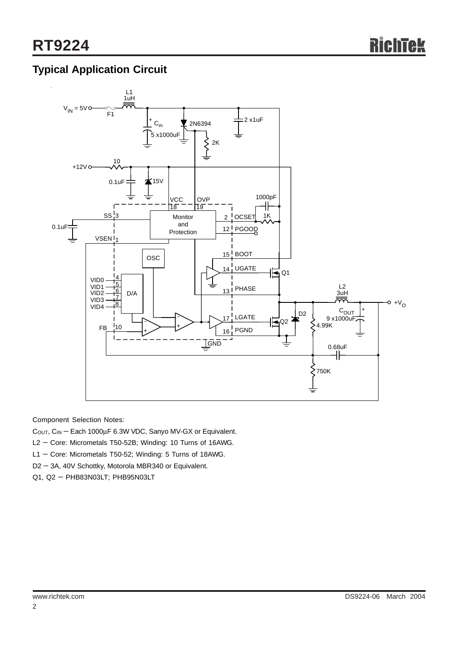# **Typical Application Circuit**



Component Selection Notes:

- C<sub>OUT</sub>, C<sub>IN</sub> Each 1000μF 6.3W VDC, Sanyo MV-GX or Equivalent.
- L2 − Core: Micrometals T50-52B; Winding: 10 Turns of 16AWG.
- L1 − Core: Micrometals T50-52; Winding: 5 Turns of 18AWG.
- D2 − 3A, 40V Schottky, Motorola MBR340 or Equivalent.
- Q1, Q2 PHB83N03LT; PHB95N03LT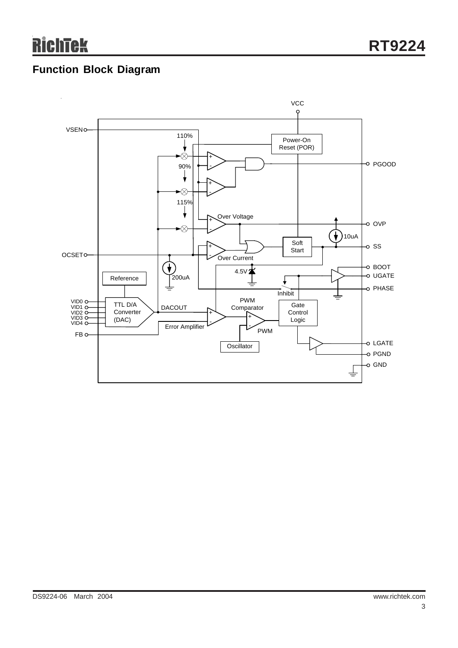# **Function Block Diagram**

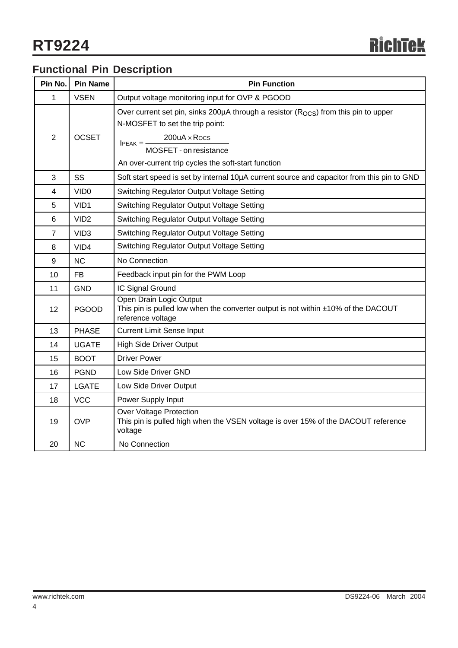# **Functional Pin Description**

| Pin No.        | <b>Pin Name</b>  | <b>Pin Function</b>                                                                                                                                                                                                                                       |  |  |  |  |  |
|----------------|------------------|-----------------------------------------------------------------------------------------------------------------------------------------------------------------------------------------------------------------------------------------------------------|--|--|--|--|--|
| 1              | <b>VSEN</b>      | Output voltage monitoring input for OVP & PGOOD                                                                                                                                                                                                           |  |  |  |  |  |
| $\overline{2}$ | <b>OCSET</b>     | Over current set pin, sinks 200µA through a resistor (R <sub>OCS</sub> ) from this pin to upper<br>N-MOSFET to set the trip point:<br>$200uA \times Rocs$<br>$IPEAK = -$<br>MOSFET - on resistance<br>An over-current trip cycles the soft-start function |  |  |  |  |  |
| 3              | SS               | Soft start speed is set by internal 10µA current source and capacitor from this pin to GND                                                                                                                                                                |  |  |  |  |  |
| 4              | VID <sub>0</sub> | Switching Regulator Output Voltage Setting                                                                                                                                                                                                                |  |  |  |  |  |
| 5              | VID1             | Switching Regulator Output Voltage Setting                                                                                                                                                                                                                |  |  |  |  |  |
| 6              | VID <sub>2</sub> | Switching Regulator Output Voltage Setting                                                                                                                                                                                                                |  |  |  |  |  |
| $\overline{7}$ | VID <sub>3</sub> | Switching Regulator Output Voltage Setting                                                                                                                                                                                                                |  |  |  |  |  |
| 8              | VID4             | Switching Regulator Output Voltage Setting                                                                                                                                                                                                                |  |  |  |  |  |
| 9              | <b>NC</b>        | No Connection                                                                                                                                                                                                                                             |  |  |  |  |  |
| 10             | <b>FB</b>        | Feedback input pin for the PWM Loop                                                                                                                                                                                                                       |  |  |  |  |  |
| 11             | <b>GND</b>       | IC Signal Ground                                                                                                                                                                                                                                          |  |  |  |  |  |
| 12             | <b>PGOOD</b>     | Open Drain Logic Output<br>This pin is pulled low when the converter output is not within ±10% of the DACOUT<br>reference voltage                                                                                                                         |  |  |  |  |  |
| 13             | <b>PHASE</b>     | <b>Current Limit Sense Input</b>                                                                                                                                                                                                                          |  |  |  |  |  |
| 14             | <b>UGATE</b>     | <b>High Side Driver Output</b>                                                                                                                                                                                                                            |  |  |  |  |  |
| 15             | <b>BOOT</b>      | <b>Driver Power</b>                                                                                                                                                                                                                                       |  |  |  |  |  |
| 16             | <b>PGND</b>      | Low Side Driver GND                                                                                                                                                                                                                                       |  |  |  |  |  |
| 17             | <b>LGATE</b>     | Low Side Driver Output                                                                                                                                                                                                                                    |  |  |  |  |  |
| 18             | <b>VCC</b>       | Power Supply Input                                                                                                                                                                                                                                        |  |  |  |  |  |
| 19             | <b>OVP</b>       | Over Voltage Protection<br>This pin is pulled high when the VSEN voltage is over 15% of the DACOUT reference<br>voltage                                                                                                                                   |  |  |  |  |  |
| 20             | <b>NC</b>        | No Connection                                                                                                                                                                                                                                             |  |  |  |  |  |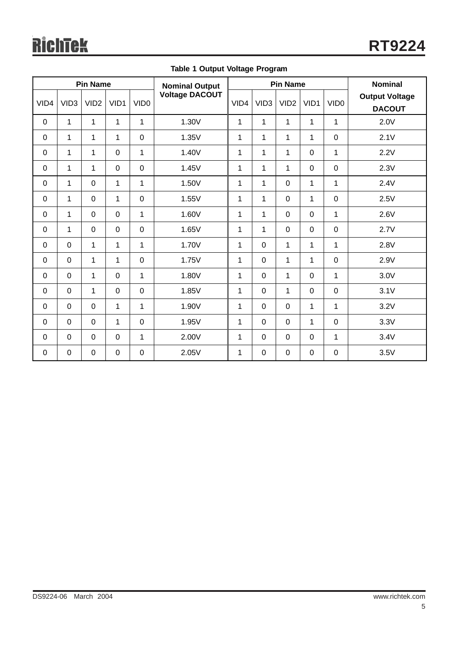| <b>Pin Name</b> |                  |                  |              |                  | <b>Nominal Output</b> | <b>Pin Name</b> |                  |                  |                | <b>Nominal</b>   |                                        |
|-----------------|------------------|------------------|--------------|------------------|-----------------------|-----------------|------------------|------------------|----------------|------------------|----------------------------------------|
| VID4            | VID <sub>3</sub> | VID <sub>2</sub> | VID1         | VID <sub>0</sub> | <b>Voltage DACOUT</b> | VID4            | VID <sub>3</sub> | VID <sub>2</sub> | VID1           | VID <sub>0</sub> | <b>Output Voltage</b><br><b>DACOUT</b> |
| $\mathbf 0$     | $\mathbf{1}$     | $\mathbf{1}$     | $\mathbf{1}$ | $\mathbf{1}$     | 1.30V                 | 1               | $\mathbf{1}$     | 1                | 1              | 1                | 2.0V                                   |
| $\mathbf 0$     | 1                | 1                | $\mathbf{1}$ | $\mathbf 0$      | 1.35V                 | 1               | $\mathbf{1}$     | 1                | 1              | $\mathbf 0$      | 2.1V                                   |
| $\mathbf 0$     | $\mathbf{1}$     | $\mathbf{1}$     | $\mathbf 0$  | $\mathbf{1}$     | 1.40V                 | 1               | 1                | 1                | $\mathbf 0$    | 1                | 2.2V                                   |
| $\mathbf 0$     | $\mathbf{1}$     | $\mathbf{1}$     | $\mathbf 0$  | $\overline{0}$   | 1.45V                 | 1               | $\mathbf{1}$     | 1                | $\overline{0}$ | $\overline{0}$   | 2.3V                                   |
| $\Omega$        | 1                | $\overline{0}$   | $\mathbf{1}$ | $\mathbf 1$      | 1.50V                 | 1               | $\mathbf{1}$     | $\mathbf 0$      | 1              | 1                | 2.4V                                   |
| $\Omega$        | $\mathbf{1}$     | $\overline{0}$   | $\mathbf{1}$ | $\mathbf 0$      | 1.55V                 | 1               | 1                | $\mathbf 0$      | 1              | $\overline{0}$   | 2.5V                                   |
| 0               | $\mathbf{1}$     | $\mathbf 0$      | $\mathbf 0$  | $\mathbf{1}$     | 1.60V                 | 1               | 1                | $\mathbf 0$      | $\mathbf 0$    | 1                | 2.6V                                   |
| $\mathbf 0$     | $\mathbf{1}$     | $\mathbf 0$      | $\mathbf 0$  | $\mathbf 0$      | 1.65V                 | $\mathbf{1}$    | $\mathbf{1}$     | $\mathbf 0$      | $\mathbf 0$    | $\overline{0}$   | 2.7V                                   |
| $\mathbf 0$     | $\mathbf 0$      | $\mathbf{1}$     | $\mathbf{1}$ | $\mathbf{1}$     | 1.70V                 | 1               | $\overline{0}$   | 1                | 1              | 1                | 2.8V                                   |
| $\mathbf 0$     | $\mathbf 0$      | $\mathbf{1}$     | 1            | $\mathbf 0$      | 1.75V                 | $\mathbf{1}$    | $\mathbf 0$      | $\mathbf 1$      | 1              | $\mathbf 0$      | 2.9V                                   |
| $\mathbf 0$     | $\mathbf 0$      | $\mathbf{1}$     | $\mathbf 0$  | $\mathbf{1}$     | 1.80V                 | 1               | $\mathbf 0$      | 1                | $\mathbf 0$    | 1                | 3.0V                                   |
| $\mathbf 0$     | $\mathbf 0$      | $\mathbf{1}$     | $\mathbf 0$  | $\mathbf 0$      | 1.85V                 | 1               | $\mathbf 0$      | $\mathbf 1$      | $\mathbf 0$    | $\mathbf 0$      | 3.1V                                   |
| $\overline{0}$  | $\overline{0}$   | $\mathbf 0$      | $\mathbf{1}$ | 1                | 1.90V                 | $\mathbf{1}$    | $\overline{0}$   | $\overline{0}$   | $\mathbf{1}$   | $\mathbf{1}$     | 3.2V                                   |
| $\overline{0}$  | $\mathbf 0$      | $\overline{0}$   | $\mathbf{1}$ | $\mathbf 0$      | 1.95V                 | $\mathbf{1}$    | $\overline{0}$   | $\overline{0}$   | $\mathbf{1}$   | $\overline{0}$   | 3.3V                                   |
| $\overline{0}$  | $\overline{0}$   | $\overline{0}$   | $\mathbf 0$  | 1                | 2.00V                 | $\mathbf{1}$    | $\overline{0}$   | $\mathbf 0$      | $\mathbf 0$    | $\mathbf{1}$     | 3.4V                                   |
| $\mathbf 0$     | $\pmb{0}$        | $\mathbf 0$      | $\mathbf 0$  | $\mathbf 0$      | 2.05V                 | $\mathbf{1}$    | $\mathbf 0$      | $\mathbf 0$      | $\mathbf 0$    | $\mathbf 0$      | 3.5V                                   |

**Table 1 Output Voltage Program**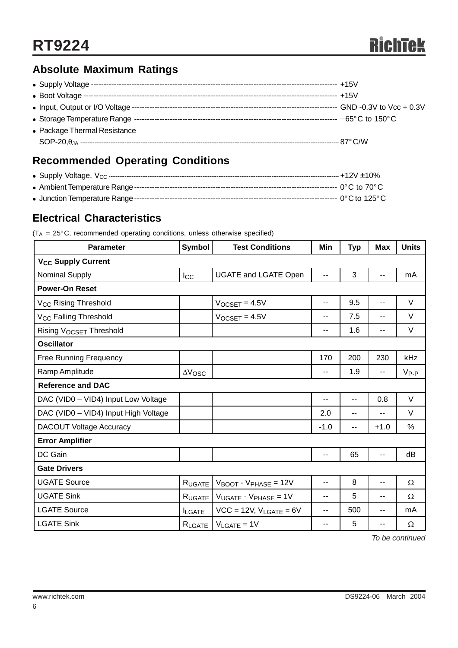# **Absolute Maximum Ratings**

| • Package Thermal Resistance |  |
|------------------------------|--|
|                              |  |
|                              |  |

# **Recommended Operating Conditions**

# **Electrical Characteristics**

 $(T_A = 25^\circ \text{C}$ , recommended operating conditions, unless otherwise specified)

| <b>Parameter</b>                     | <b>Symbol</b>   | <b>Test Conditions</b>                       | Min                      | <b>Typ</b>               | <b>Max</b>               | <b>Units</b> |  |  |
|--------------------------------------|-----------------|----------------------------------------------|--------------------------|--------------------------|--------------------------|--------------|--|--|
| <b>V<sub>CC</sub> Supply Current</b> |                 |                                              |                          |                          |                          |              |  |  |
| <b>Nominal Supply</b>                | $_{\text{loc}}$ | <b>UGATE and LGATE Open</b>                  | --                       | 3                        | $\overline{\phantom{a}}$ | mA           |  |  |
| <b>Power-On Reset</b>                |                 |                                              |                          |                          |                          |              |  |  |
| V <sub>CC</sub> Rising Threshold     |                 | $V$ <sub>OCSET</sub> = $4.5V$                | $\overline{\phantom{a}}$ | 9.5                      | $\overline{\phantom{a}}$ | $\vee$       |  |  |
| V <sub>CC</sub> Falling Threshold    |                 | $V_{OCSET} = 4.5V$                           | $\overline{\phantom{a}}$ | 7.5                      | $\overline{\phantom{a}}$ | V            |  |  |
| <b>Rising VOCSET Threshold</b>       |                 |                                              | $\overline{\phantom{a}}$ | 1.6                      | $-$                      | V            |  |  |
| <b>Oscillator</b>                    |                 |                                              |                          |                          |                          |              |  |  |
| <b>Free Running Frequency</b>        |                 |                                              | 170                      | 200                      | 230                      | kHz          |  |  |
| Ramp Amplitude                       | $\Delta V$ OSC  |                                              | --                       | 1.9                      | --                       | $V_{P-P}$    |  |  |
| <b>Reference and DAC</b>             |                 |                                              |                          |                          |                          |              |  |  |
| DAC (VID0 - VID4) Input Low Voltage  |                 |                                              | --                       | $-$                      | 0.8                      | $\vee$       |  |  |
| DAC (VID0 - VID4) Input High Voltage |                 |                                              | 2.0                      | $-$                      | --                       | V            |  |  |
| <b>DACOUT Voltage Accuracy</b>       |                 |                                              | $-1.0$                   | $\overline{\phantom{a}}$ | $+1.0$                   | %            |  |  |
| <b>Error Amplifier</b>               |                 |                                              |                          |                          |                          |              |  |  |
| DC Gain                              |                 |                                              | $\overline{\phantom{a}}$ | 65                       | $-$                      | dB           |  |  |
| <b>Gate Drivers</b>                  |                 |                                              |                          |                          |                          |              |  |  |
| <b>UGATE Source</b>                  | RUGATE          | $V_{\text{BOOT}}$ - $V_{\text{PHASE}}$ = 12V | $-$                      | 8                        | $\overline{\phantom{a}}$ | Ω            |  |  |
| <b>UGATE Sink</b>                    | RUGATE          | $V_{UGATE}$ - $V_{PHASE}$ = 1V               | $-$                      | 5                        | $-$                      | $\Omega$     |  |  |
| <b>LGATE Source</b>                  | <b>ILGATE</b>   | $VCC = 12V$ , $V_{LGATE} = 6V$               | $-$                      | 500                      | $-$                      | mA           |  |  |
| <b>LGATE Sink</b>                    | RLGATE          | $V_{LGATE} = 1V$                             | $\overline{\phantom{a}}$ | 5                        | $-$                      | $\Omega$     |  |  |

*To be continued*

6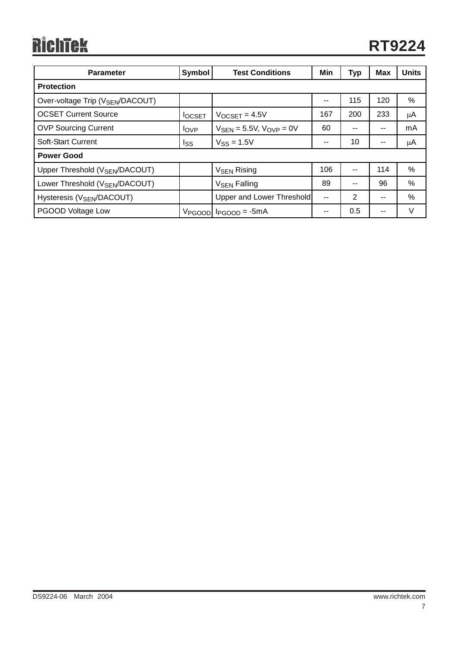# RichTek

| <b>Parameter</b>                             | Symbol             | <b>Test Conditions</b>                          | Min | <b>Typ</b>     | Max   | <b>Units</b> |  |  |
|----------------------------------------------|--------------------|-------------------------------------------------|-----|----------------|-------|--------------|--|--|
| <b>Protection</b>                            |                    |                                                 |     |                |       |              |  |  |
| Over-voltage Trip (V <sub>SEN</sub> /DACOUT) |                    |                                                 | --  | 115            | 120   | $\%$         |  |  |
| <b>OCSET Current Source</b>                  | <b>IOCSET</b>      | $V_{OCSET} = 4.5V$                              | 167 | 200            | 233   | μA           |  |  |
| <b>OVP Sourcing Current</b>                  | <b>I</b> OVP       | $V_{\text{SFN}} = 5.5V$ , $V_{\text{OVP}} = 0V$ | 60  | --             | $- -$ | mA           |  |  |
| Soft-Start Current                           | Iss                | $V$ <sub>SS</sub> = 1.5V                        | --  | 10             | $- -$ | μA           |  |  |
| <b>Power Good</b>                            |                    |                                                 |     |                |       |              |  |  |
| Upper Threshold (V <sub>SEN</sub> /DACOUT)   |                    | <b>V<sub>SEN</sub></b> Rising                   | 106 | --             | 114   | $\%$         |  |  |
| Lower Threshold (V <sub>SEN</sub> /DACOUT)   |                    | <b>V<sub>SEN</sub></b> Falling                  | 89  | --             | 96    | $\%$         |  |  |
| Hysteresis (V <sub>SEN</sub> /DACOUT)        |                    | Upper and Lower Threshold                       | $-$ | $\overline{2}$ | $- -$ | $\%$         |  |  |
| PGOOD Voltage Low                            | V <sub>PGOOD</sub> | $l_{PGOOD} = -5mA$                              | --  | 0.5            | $-$   | $\vee$       |  |  |